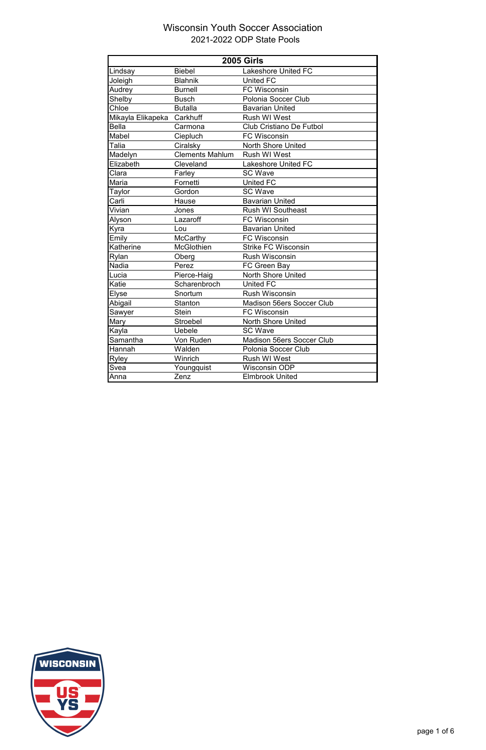| <b>2005 Girls</b>          |                        |                                  |  |
|----------------------------|------------------------|----------------------------------|--|
| Lindsay                    | <b>Biebel</b>          | <b>Lakeshore United FC</b>       |  |
| Joleigh                    | <b>Blahnik</b>         | <b>United FC</b>                 |  |
| Audrey                     | <b>Burnell</b>         | <b>FC Wisconsin</b>              |  |
| Shelby                     | <b>Busch</b>           | Polonia Soccer Club              |  |
| Chloe                      | <b>Butalla</b>         | <b>Bavarian United</b>           |  |
| Mikayla Elikapeka Carkhuff |                        | <b>Rush WI West</b>              |  |
| <b>Bella</b>               | Carmona                | <b>Club Cristiano De Futbol</b>  |  |
| Mabel                      | Ciepluch               | <b>FC Wisconsin</b>              |  |
| Talia                      | Ciralsky               | <b>North Shore United</b>        |  |
| Madelyn                    | <b>Clements Mahlum</b> | <b>Rush WI West</b>              |  |
| Elizabeth                  | Cleveland              | <b>Lakeshore United FC</b>       |  |
| Clara                      | Farley                 | <b>SC Wave</b>                   |  |
| Maria                      | Fornetti               | <b>United FC</b>                 |  |
| Taylor                     | Gordon                 | <b>SC Wave</b>                   |  |
| Carli                      | Hause                  | <b>Bavarian United</b>           |  |
| Vivian                     | Jones                  | <b>Rush WI Southeast</b>         |  |
| Alyson                     | Lazaroff               | <b>FC Wisconsin</b>              |  |
| Kyra                       | Lou                    | <b>Bavarian United</b>           |  |
| Emily                      | <b>McCarthy</b>        | <b>FC Wisconsin</b>              |  |
| Katherine                  | <b>McGlothien</b>      | <b>Strike FC Wisconsin</b>       |  |
| Rylan                      | Oberg                  | <b>Rush Wisconsin</b>            |  |
| Nadia                      | Perez                  | FC Green Bay                     |  |
| Lucia                      | Pierce-Haig            | North Shore United               |  |
| Katie                      | Scharenbroch           | <b>United FC</b>                 |  |
| Elyse                      | Snortum                | <b>Rush Wisconsin</b>            |  |
| Abigail                    | <b>Stanton</b>         | Madison 56ers Soccer Club        |  |
| Sawyer                     | <b>Stein</b>           | <b>FC Wisconsin</b>              |  |
| Mary                       | Stroebel               | <b>North Shore United</b>        |  |
| Kayla                      | Uebele                 | <b>SC Wave</b>                   |  |
| Samantha                   | Von Ruden              | <b>Madison 56ers Soccer Club</b> |  |
| Hannah                     | Walden                 | Polonia Soccer Club              |  |
| <b>Ryley</b>               | Winrich                | <b>Rush WI West</b>              |  |
| Svea                       | Youngquist             | <b>Wisconsin ODP</b>             |  |
| Anna                       | Zenz                   | <b>Elmbrook United</b>           |  |



page 1 of 6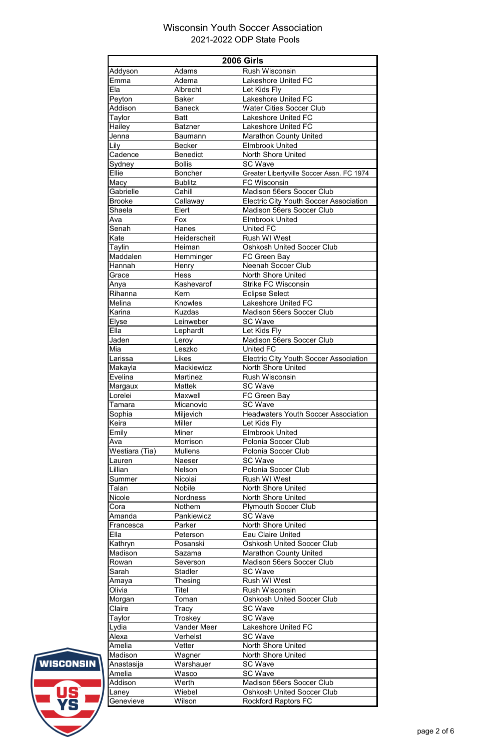|                      |                       | <b>2006 Girls</b>                                                 |
|----------------------|-----------------------|-------------------------------------------------------------------|
| Addyson              | Adams                 | <b>Rush Wisconsin</b>                                             |
| Emma                 | Adema                 | <b>Lakeshore United FC</b>                                        |
| Ela                  | Albrecht              | Let Kids Fly                                                      |
| Peyton               | <b>Baker</b>          | <b>Lakeshore United FC</b>                                        |
| Addison              | <b>Baneck</b><br>Batt | <b>Water Cities Soccer Club</b><br><b>Lakeshore United FC</b>     |
| Taylor               | <b>Batzner</b>        | Lakeshore United FC                                               |
| Hailey<br>Jenna      | <b>Baumann</b>        | <b>Marathon County United</b>                                     |
| Lily                 | <b>Becker</b>         | <b>Elmbrook United</b>                                            |
| Cadence              | <b>Benedict</b>       | <b>North Shore United</b>                                         |
| Sydney               | <b>Bollis</b>         | <b>SC Wave</b>                                                    |
| Ellie                | <b>Boncher</b>        | Greater Libertyville Soccer Assn. FC 1974                         |
| Macy                 | <b>Bublitz</b>        | <b>FC Wisconsin</b>                                               |
| Gabrielle            | Cahill                | <b>Madison 56ers Soccer Club</b>                                  |
| <b>Brooke</b>        | Callaway              | <b>Electric City Youth Soccer Association</b>                     |
| Shaela               | Elert                 | Madison 56ers Soccer Club                                         |
| Ava                  | Fox                   | <b>Elmbrook United</b>                                            |
| Senah                | Hanes                 | <b>United FC</b>                                                  |
| Kate                 | Heiderscheit          | <b>Rush WI West</b>                                               |
| Taylin               | Heiman                | <b>Oshkosh United Soccer Club</b>                                 |
| Maddalen             | Hemminger             | FC Green Bay                                                      |
| Hannah               | Henry                 | <b>Neenah Soccer Club</b>                                         |
| Grace                | <b>Hess</b>           | <b>North Shore United</b>                                         |
| Anya                 | Kashevarof            | <b>Strike FC Wisconsin</b>                                        |
| Rihanna              | Kern                  | <b>Eclipse Select</b>                                             |
| Melina               | <b>Knowles</b>        | Lakeshore United FC                                               |
| Karina               | <b>Kuzdas</b>         | <b>Madison 56ers Soccer Club</b><br><b>SC Wave</b>                |
| Elyse<br>Ella        | Leinweber<br>Lephardt | Let Kids Fly                                                      |
| Jaden                | Leroy                 | <b>Madison 56ers Soccer Club</b>                                  |
| Mia                  | Leszko                | <b>United FC</b>                                                  |
| Larissa              | <b>Likes</b>          | <b>Electric City Youth Soccer Association</b>                     |
| Makayla              | Mackiewicz            | <b>North Shore United</b>                                         |
| Evelina              | <b>Martinez</b>       | <b>Rush Wisconsin</b>                                             |
| Margaux              | <b>Mattek</b>         | <b>SC Wave</b>                                                    |
| Lorelei              | Maxwell               | FC Green Bay                                                      |
| Tamara               | Micanovic             | <b>SC Wave</b>                                                    |
| Sophia               | Miljevich             | <b>Headwaters Youth Soccer Association</b>                        |
| Keira                | <b>Miller</b>         | Let Kids Fly                                                      |
| Emily                | <b>Miner</b>          | <b>Elmbrook United</b>                                            |
| Ava                  | Morrison              | Polonia Soccer Club                                               |
| Westiara (Tia)       | <b>Mullens</b>        | Polonia Soccer Club                                               |
| Lauren               | <b>Naeser</b>         | <b>SC Wave</b>                                                    |
| Lillian              | Nelson                | Polonia Soccer Club                                               |
| Summer               | Nicolai               | <b>Rush WI West</b>                                               |
| Talan                | <b>Nobile</b>         | <b>North Shore United</b>                                         |
| Nicole               | <b>Nordness</b>       | <b>North Shore United</b>                                         |
| Cora                 | Nothem                | <b>Plymouth Soccer Club</b>                                       |
| Amanda               | Pankiewicz            | <b>SC Wave</b>                                                    |
| Francesca            | Parker                | <b>North Shore United</b>                                         |
| Ella                 | Peterson              | <b>Eau Claire United</b><br><b>Oshkosh United Soccer Club</b>     |
| Kathryn<br>Madison   | Posanski<br>Sazama    |                                                                   |
| Rowan                | Severson              | <b>Marathon County United</b><br><b>Madison 56ers Soccer Club</b> |
| Sarah                | <b>Stadler</b>        | <b>SC Wave</b>                                                    |
| Amaya                | Thesing               | <b>Rush WI West</b>                                               |
| Olivia               | Titel                 | <b>Rush Wisconsin</b>                                             |
| Morgan               | Toman                 | <b>Oshkosh United Soccer Club</b>                                 |
| Claire               | Tracy                 | <b>SC Wave</b>                                                    |
| Taylor               | Troskey               | <b>SC Wave</b>                                                    |
| Lydia                | <b>Vander Meer</b>    | <b>Lakeshore United FC</b>                                        |
| Alexa                | Verhelst              | <b>SC Wave</b>                                                    |
|                      | Vetter                | <b>North Shore United</b>                                         |
|                      |                       | North Shore United                                                |
| Amelia               |                       |                                                                   |
| Madison              | Wagner                |                                                                   |
| Anastasija<br>Amelia | Warshauer             | <b>SC Wave</b><br><b>SC Wave</b>                                  |
| Addison              | Wasco<br>Werth        | <b>Madison 56ers Soccer Club</b>                                  |
| Laney                | Wiebel                | <b>Oshkosh United Soccer Club</b>                                 |

WISCONSIN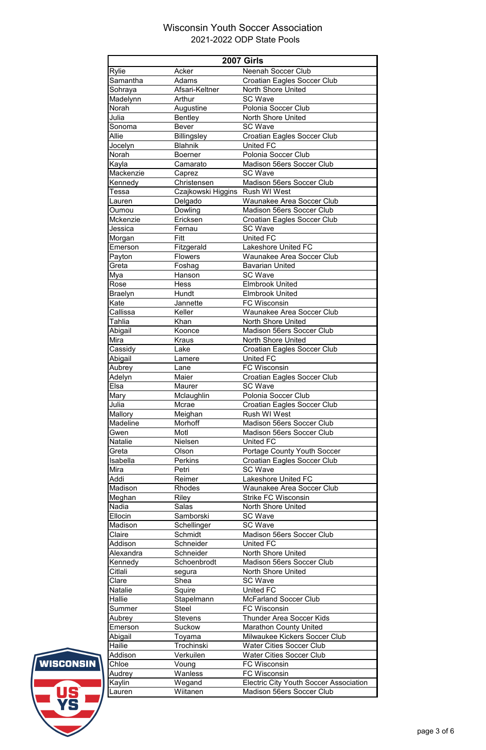| <b>2007 Girls</b> |                                 |                                               |  |
|-------------------|---------------------------------|-----------------------------------------------|--|
| <b>Rylie</b>      | Acker                           | <b>Neenah Soccer Club</b>                     |  |
| Samantha          | Adams                           | <b>Croatian Eagles Soccer Club</b>            |  |
| Sohraya           | Afsari-Keltner                  | <b>North Shore United</b>                     |  |
| Madelynn          | Arthur                          | <b>SC Wave</b>                                |  |
| Norah             | Augustine                       | Polonia Soccer Club                           |  |
| Julia             | <b>Bentley</b>                  | <b>North Shore United</b>                     |  |
| Sonoma            | <b>Bever</b>                    | <b>SC Wave</b>                                |  |
| Allie             | <b>Billingsley</b>              | <b>Croatian Eagles Soccer Club</b>            |  |
| Jocelyn           | <b>Blahnik</b>                  | <b>United FC</b>                              |  |
| Norah             | <b>Boerner</b>                  | Polonia Soccer Club                           |  |
| Kayla             | Camarato                        | <b>Madison 56ers Soccer Club</b>              |  |
| Mackenzie         | Caprez                          | <b>SC Wave</b>                                |  |
| Kennedy           | Christensen                     | <b>Madison 56ers Soccer Club</b>              |  |
| Tessa             | Czajkowski Higgins Rush WI West |                                               |  |
| Lauren            | Delgado                         | <b>Waunakee Area Soccer Club</b>              |  |
| Oumou             | Dowling                         | <b>Madison 56ers Soccer Club</b>              |  |
| <b>Mckenzie</b>   | Ericksen                        | <b>Croatian Eagles Soccer Club</b>            |  |
| Jessica           | Fernau                          | <b>SC Wave</b>                                |  |
| Morgan            | Fitt                            | <b>United FC</b>                              |  |
| Emerson           | Fitzgerald                      | <b>Lakeshore United FC</b>                    |  |
| Payton            | <b>Flowers</b>                  | <b>Waunakee Area Soccer Club</b>              |  |
| Greta             | Foshag                          | <b>Bavarian United</b>                        |  |
| Mya               | Hanson                          | <b>SC Wave</b>                                |  |
| Rose              | <b>Hess</b>                     | <b>Elmbrook United</b>                        |  |
| Braelyn           | Hundt                           | <b>Elmbrook United</b>                        |  |
| Kate              | Jannette                        | <b>FC Wisconsin</b>                           |  |
| Callissa          | Keller                          | Waunakee Area Soccer Club                     |  |
| Tahlia            | Khan                            | <b>North Shore United</b>                     |  |
| Abigail           | Koonce                          | <b>Madison 56ers Soccer Club</b>              |  |
| Mira              | <b>Kraus</b>                    | <b>North Shore United</b>                     |  |
| Cassidy           | Lake                            | <b>Croatian Eagles Soccer Club</b>            |  |
| Abigail           | Lamere                          | <b>United FC</b>                              |  |
| Aubrey            | Lane                            | <b>FC Wisconsin</b>                           |  |
| Adelyn            | Maier                           | <b>Croatian Eagles Soccer Club</b>            |  |
| Elsa              | <b>Maurer</b>                   | <b>SC Wave</b>                                |  |
| Mary              | Mclaughlin                      | Polonia Soccer Club                           |  |
| Julia             | Mcrae                           | <b>Croatian Eagles Soccer Club</b>            |  |
| Mallory           | Meighan                         | Rush WI West                                  |  |
| Madeline          | Morhoff                         | Madison 56ers Soccer Club                     |  |
| Gwen              | Motl                            | <b>Madison 56ers Soccer Club</b>              |  |
| <b>Natalie</b>    | Nielsen                         | <b>United FC</b>                              |  |
| Greta             | Olson                           | <b>Portage County Youth Soccer</b>            |  |
| Isabella          | <b>Perkins</b>                  | <b>Croatian Eagles Soccer Club</b>            |  |
| Mira              | Petri                           | <b>SC Wave</b>                                |  |
| Addi              | Reimer                          | <b>Lakeshore United FC</b>                    |  |
| Madison           | Rhodes                          | <b>Waunakee Area Soccer Club</b>              |  |
| Meghan            | <b>Riley</b>                    | <b>Strike FC Wisconsin</b>                    |  |
| <b>Nadia</b>      | <b>Salas</b>                    | <b>North Shore United</b>                     |  |
| Ellocin           | Samborski                       | <b>SC Wave</b>                                |  |
| Madison           | Schellinger                     | <b>SC Wave</b>                                |  |
| Claire            | Schmidt                         | <b>Madison 56ers Soccer Club</b>              |  |
| Addison           | Schneider                       | <b>United FC</b>                              |  |
| Alexandra         | Schneider                       | <b>North Shore United</b>                     |  |
| Kennedy           | Schoenbrodt                     | <b>Madison 56ers Soccer Club</b>              |  |
| Citlali           | segura                          | <b>North Shore United</b>                     |  |
| Clare             | Shea                            | <b>SC Wave</b>                                |  |
| Natalie           | Squire                          | <b>United FC</b>                              |  |
| Hallie            | Stapelmann                      | <b>McFarland Soccer Club</b>                  |  |
| Summer            | <b>Steel</b>                    | <b>FC Wisconsin</b>                           |  |
| Aubrey            | <b>Stevens</b>                  | <b>Thunder Area Soccer Kids</b>               |  |
| Emerson           | Suckow                          | <b>Marathon County United</b>                 |  |
| Abigail           | Toyama                          | Milwaukee Kickers Soccer Club                 |  |
| Hailie            | Trochinski                      | <b>Water Cities Soccer Club</b>               |  |
| Addison           | Verkuilen                       | <b>Water Cities Soccer Club</b>               |  |
| Chloe             | Voung                           | <b>FC Wisconsin</b>                           |  |
| Audrey            | Wanless                         | <b>FC Wisconsin</b>                           |  |
| Kaylin            | Wegand                          | <b>Electric City Youth Soccer Association</b> |  |
| Lauren            | Wiitanen                        | <b>Madison 56ers Soccer Club</b>              |  |
|                   |                                 |                                               |  |



page 3 of 6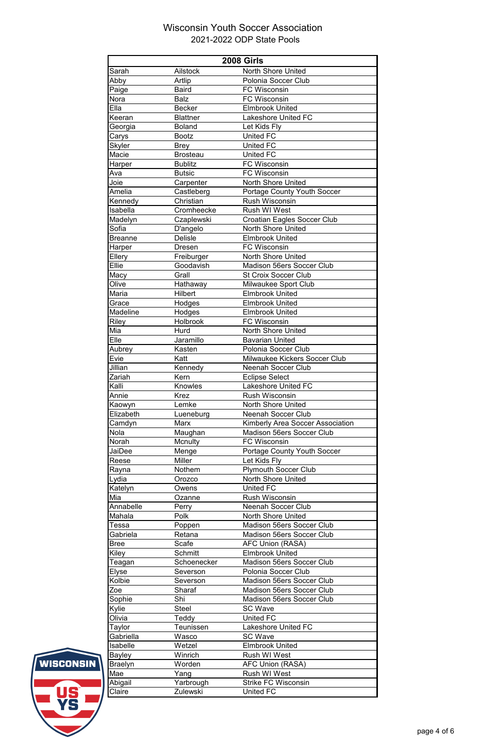| <b>2008 Girls</b> |                  |                                         |  |
|-------------------|------------------|-----------------------------------------|--|
| Sarah             | <b>Ailstock</b>  | <b>North Shore United</b>               |  |
| Abby              | Artlip           | Polonia Soccer Club                     |  |
| Paige             | <b>Baird</b>     | <b>FC Wisconsin</b>                     |  |
| Nora              | <b>Balz</b>      | <b>FC Wisconsin</b>                     |  |
| Ella              | <b>Becker</b>    | <b>Elmbrook United</b>                  |  |
| Keeran            | <b>Blattner</b>  | <b>Lakeshore United FC</b>              |  |
| Georgia           | <b>Boland</b>    | Let Kids Fly                            |  |
| Carys             | <b>Bootz</b>     | <b>United FC</b>                        |  |
| Skyler            | <b>Brey</b>      | <b>United FC</b>                        |  |
| Macie             | <b>Brosteau</b>  | <b>United FC</b>                        |  |
| Harper            | <b>Bublitz</b>   | <b>FC Wisconsin</b>                     |  |
| Ava               | <b>Butsic</b>    | <b>FC Wisconsin</b>                     |  |
| Joie              | Carpenter        | <b>North Shore United</b>               |  |
| Amelia            | Castleberg       | Portage County Youth Soccer             |  |
| Kennedy           | Christian        | <b>Rush Wisconsin</b>                   |  |
| Isabella          | Cromheecke       | <b>Rush WI West</b>                     |  |
| Madelyn           | Czaplewski       | <b>Croatian Eagles Soccer Club</b>      |  |
| Sofia             | D'angelo         | <b>North Shore United</b>               |  |
| <b>Breanne</b>    | <b>Delisle</b>   | <b>Elmbrook United</b>                  |  |
| Harper            | <b>Dresen</b>    | <b>FC Wisconsin</b>                     |  |
| Ellery            | Freiburger       | <b>North Shore United</b>               |  |
| Ellie             | Goodavish        | <b>Madison 56ers Soccer Club</b>        |  |
| Macy              | Grall            | <b>St Croix Soccer Club</b>             |  |
| Olive             | Hathaway         | Milwaukee Sport Club                    |  |
| Maria             | <b>Hilbert</b>   | <b>Elmbrook United</b>                  |  |
| Grace             | Hodges           | <b>Elmbrook United</b>                  |  |
| <b>Madeline</b>   | Hodges           | <b>Elmbrook United</b>                  |  |
| Riley             | Holbrook         | <b>FC Wisconsin</b>                     |  |
| Mia               | Hurd             | North Shore United                      |  |
| Elle              | Jaramillo        | <b>Bavarian United</b>                  |  |
| Aubrey            | Kasten           | Polonia Soccer Club                     |  |
| Evie              | Katt             | Milwaukee Kickers Soccer Club           |  |
| Jillian           | Kennedy          | <b>Neenah Soccer Club</b>               |  |
| Zariah            | Kern             | <b>Eclipse Select</b>                   |  |
| Kalli             | Knowles          | <b>Lakeshore United FC</b>              |  |
| Annie             | <b>Krez</b>      | <b>Rush Wisconsin</b>                   |  |
| Kaowyn            | Lemke            | <b>North Shore United</b>               |  |
| Elizabeth         | Lueneburg        | <b>Neenah Soccer Club</b>               |  |
| Camdyn            | <b>Marx</b>      | <b>Kimberly Area Soccer Association</b> |  |
| Nola              | Maughan          | <b>Madison 56ers Soccer Club</b>        |  |
| Norah             | Mcnulty          | <b>FC Wisconsin</b>                     |  |
| JaiDee            | Menge            | <b>Portage County Youth Soccer</b>      |  |
| Reese             | <b>Miller</b>    | Let Kids Fly                            |  |
| Rayna             | Nothem           | <b>Plymouth Soccer Club</b>             |  |
| Lydia             | Orozco           | North Shore United                      |  |
| Katelyn           | Owens            | <b>United FC</b>                        |  |
| Mia               | Ozanne           | <b>Rush Wisconsin</b>                   |  |
| Annabelle         | Perry            | <b>Neenah Soccer Club</b>               |  |
| Mahala            | Polk             | <b>North Shore United</b>               |  |
| Tessa             | Poppen           | <b>Madison 56ers Soccer Club</b>        |  |
| Gabriela          | Retana           | <b>Madison 56ers Soccer Club</b>        |  |
| <b>Bree</b>       | Scafe            | <b>AFC Union (RASA)</b>                 |  |
| Kiley             | <b>Schmitt</b>   | <b>Elmbrook United</b>                  |  |
| Teagan            | Schoenecker      | <b>Madison 56ers Soccer Club</b>        |  |
| <b>Elyse</b>      | Severson         | Polonia Soccer Club                     |  |
| Kolbie            | Severson         | <b>Madison 56ers Soccer Club</b>        |  |
| Zoe               | Sharaf           | <b>Madison 56ers Soccer Club</b>        |  |
| Sophie            | Shi              | <b>Madison 56ers Soccer Club</b>        |  |
| Kylie             | <b>Steel</b>     | <b>SC Wave</b>                          |  |
| Olivia            | Teddy            | <b>United FC</b>                        |  |
| Taylor            | <b>Teunissen</b> | <b>Lakeshore United FC</b>              |  |
| Gabriella         | Wasco            | <b>SC Wave</b>                          |  |
| Isabelle          | Wetzel           | <b>Elmbrook United</b>                  |  |
| Bayley            | Winrich          | <b>Rush WI West</b>                     |  |
| <b>Braelyn</b>    | Worden           | <b>AFC Union (RASA)</b>                 |  |
| Mae               | Yang             | <b>Rush WI West</b>                     |  |
| Abigail           | Yarbrough        | <b>Strike FC Wisconsin</b>              |  |
| Claire            | Zulewski         | <b>United FC</b>                        |  |



page 4 of 6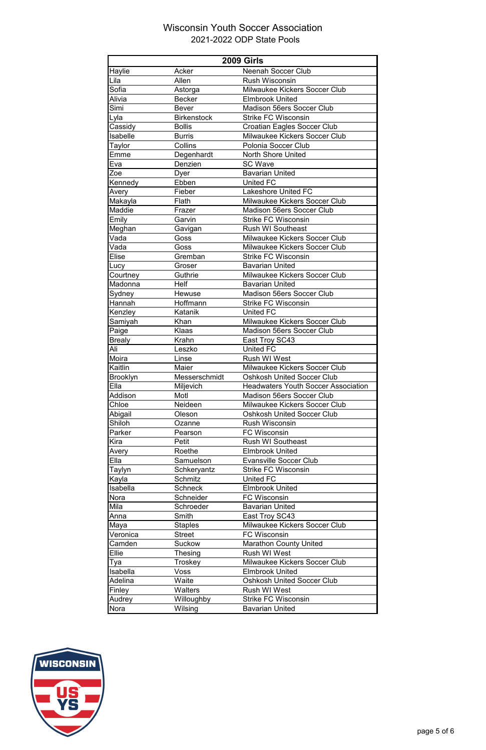|                 | <b>2009 Girls</b>  |                                            |  |  |
|-----------------|--------------------|--------------------------------------------|--|--|
| Haylie          | Acker              | <b>Neenah Soccer Club</b>                  |  |  |
| Lila            | Allen              | <b>Rush Wisconsin</b>                      |  |  |
| Sofia           | Astorga            | Milwaukee Kickers Soccer Club              |  |  |
| Alivia          | <b>Becker</b>      | <b>Elmbrook United</b>                     |  |  |
| Simi            | <b>Bever</b>       | <b>Madison 56ers Soccer Club</b>           |  |  |
| Lyla            | <b>Birkenstock</b> | <b>Strike FC Wisconsin</b>                 |  |  |
| Cassidy         | <b>Bollis</b>      | <b>Croatian Eagles Soccer Club</b>         |  |  |
| Isabelle        | <b>Burris</b>      | <b>Milwaukee Kickers Soccer Club</b>       |  |  |
| Taylor          | Collins            | Polonia Soccer Club                        |  |  |
| Emme            | Degenhardt         | <b>North Shore United</b>                  |  |  |
| Eva             | Denzien            | <b>SC Wave</b>                             |  |  |
| Zoe             | Dyer               | <b>Bavarian United</b>                     |  |  |
| Kennedy         | Ebben              | <b>United FC</b>                           |  |  |
| Avery           | Fieber             | <b>Lakeshore United FC</b>                 |  |  |
| Makayla         | Flath              | Milwaukee Kickers Soccer Club              |  |  |
| Maddie          | Frazer             | <b>Madison 56ers Soccer Club</b>           |  |  |
| Emily           | Garvin             | <b>Strike FC Wisconsin</b>                 |  |  |
| Meghan          | Gavigan            | <b>Rush WI Southeast</b>                   |  |  |
| Vada            | Goss               | <b>Milwaukee Kickers Soccer Club</b>       |  |  |
| Vada            | Goss               | <b>Milwaukee Kickers Soccer Club</b>       |  |  |
| <b>Elise</b>    | Gremban            | <b>Strike FC Wisconsin</b>                 |  |  |
| Lucy            | Groser             | <b>Bavarian United</b>                     |  |  |
| Courtney        | Guthrie            | <b>Milwaukee Kickers Soccer Club</b>       |  |  |
| Madonna         | <b>Helf</b>        | <b>Bavarian United</b>                     |  |  |
| Sydney          | Hewuse             | <b>Madison 56ers Soccer Club</b>           |  |  |
| Hannah          | Hoffmann           | <b>Strike FC Wisconsin</b>                 |  |  |
| Kenzley         | Katanik            | <b>United FC</b>                           |  |  |
| Samiyah         | Khan               | Milwaukee Kickers Soccer Club              |  |  |
| Paige           | Klaas              | <b>Madison 56ers Soccer Club</b>           |  |  |
| <b>Brealy</b>   | Krahn              | East Troy SC43                             |  |  |
| Ali             | Leszko             | <b>United FC</b>                           |  |  |
| Moira           | Linse              | <b>Rush WI West</b>                        |  |  |
| Kaitlin         | Maier              | <b>Milwaukee Kickers Soccer Club</b>       |  |  |
| <b>Brooklyn</b> | Messerschmidt      | <b>Oshkosh United Soccer Club</b>          |  |  |
| Ella            | Miljevich          | <b>Headwaters Youth Soccer Association</b> |  |  |
| Addison         | Motl               | <b>Madison 56ers Soccer Club</b>           |  |  |
|                 |                    |                                            |  |  |
| Chloe           | Neideen            | Milwaukee Kickers Soccer Club              |  |  |
| Abigail         | Oleson             | <b>Oshkosh United Soccer Club</b>          |  |  |
| Shiloh          | Ozanne             | <b>Rush Wisconsin</b>                      |  |  |
| Parker          | Pearson            | <b>FC Wisconsin</b>                        |  |  |
| Kira            | Petit              | <b>Rush WI Southeast</b>                   |  |  |
| Avery           | Roethe             | <b>Elmbrook United</b>                     |  |  |
| Ella            | Samuelson          | <b>Evansville Soccer Club</b>              |  |  |
| Taylyn          | Schkeryantz        | <b>Strike FC Wisconsin</b>                 |  |  |
| Kayla           | Schmitz            | <b>United FC</b>                           |  |  |
| Isabella        | <b>Schneck</b>     | <b>Elmbrook United</b>                     |  |  |
| Nora            | Schneider          | <b>FC Wisconsin</b>                        |  |  |
| Mila            | Schroeder          | <b>Bavarian United</b>                     |  |  |
| Anna            | Smith              | East Troy SC43                             |  |  |
| Maya            | <b>Staples</b>     | Milwaukee Kickers Soccer Club              |  |  |
| Veronica        | <b>Street</b>      | <b>FC Wisconsin</b>                        |  |  |
| Camden          | Suckow             | <b>Marathon County United</b>              |  |  |
| Ellie           | <b>Thesing</b>     | <b>Rush WI West</b>                        |  |  |
| Tya             | Troskey            | <b>Milwaukee Kickers Soccer Club</b>       |  |  |
| Isabella        | <b>Voss</b>        | <b>Elmbrook United</b>                     |  |  |
| Adelina         | Waite              | <b>Oshkosh United Soccer Club</b>          |  |  |
| Finley          | Walters            | <b>Rush WI West</b>                        |  |  |
| Audrey<br>Nora  | Willoughby         | <b>Strike FC Wisconsin</b>                 |  |  |



page 5 of 6